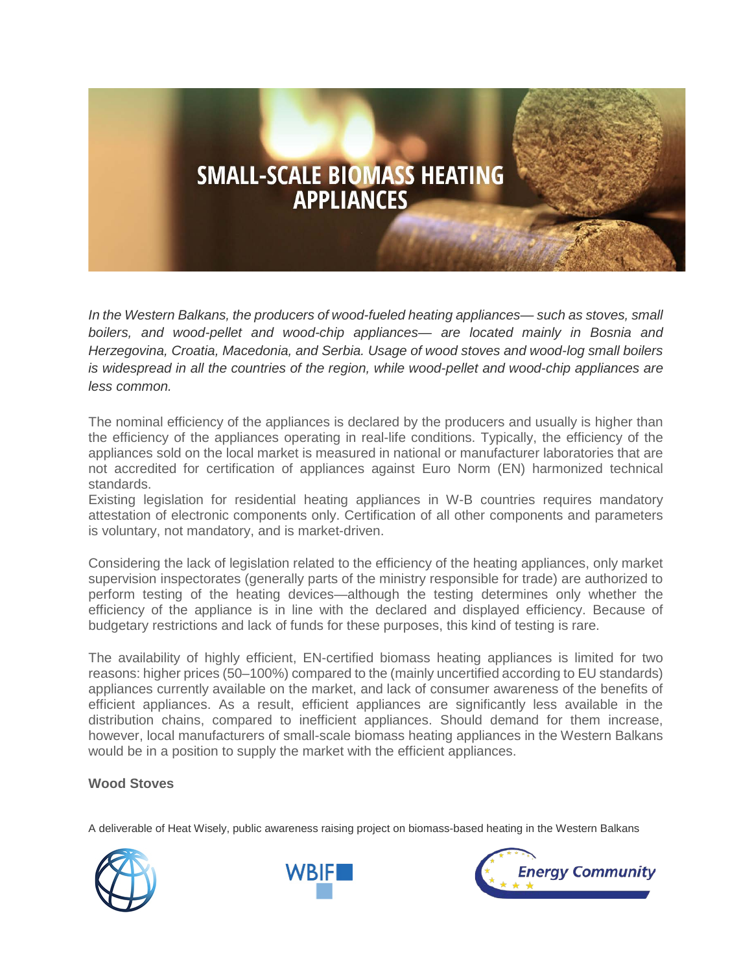# **SMALL-SCALE BIOMASS HEATING APPLIANCES**

*In the Western Balkans, the producers of wood-fueled heating appliances— such as stoves, small boilers, and wood-pellet and wood-chip appliances— are located mainly in Bosnia and Herzegovina, Croatia, Macedonia, and Serbia. Usage of wood stoves and wood-log small boilers is widespread in all the countries of the region, while wood-pellet and wood-chip appliances are less common.*

The nominal efficiency of the appliances is declared by the producers and usually is higher than the efficiency of the appliances operating in real-life conditions. Typically, the efficiency of the appliances sold on the local market is measured in national or manufacturer laboratories that are not accredited for certification of appliances against Euro Norm (EN) harmonized technical standards.

Existing legislation for residential heating appliances in W-B countries requires mandatory attestation of electronic components only. Certification of all other components and parameters is voluntary, not mandatory, and is market-driven.

Considering the lack of legislation related to the efficiency of the heating appliances, only market supervision inspectorates (generally parts of the ministry responsible for trade) are authorized to perform testing of the heating devices—although the testing determines only whether the efficiency of the appliance is in line with the declared and displayed efficiency. Because of budgetary restrictions and lack of funds for these purposes, this kind of testing is rare.

The availability of highly efficient, EN-certified biomass heating appliances is limited for two reasons: higher prices (50–100%) compared to the (mainly uncertified according to EU standards) appliances currently available on the market, and lack of consumer awareness of the benefits of efficient appliances. As a result, efficient appliances are significantly less available in the distribution chains, compared to inefficient appliances. Should demand for them increase, however, local manufacturers of small-scale biomass heating appliances in the Western Balkans would be in a position to supply the market with the efficient appliances.

# **Wood Stoves**

A deliverable of Heat Wisely, public awareness raising project on biomass-based heating in the Western Balkans





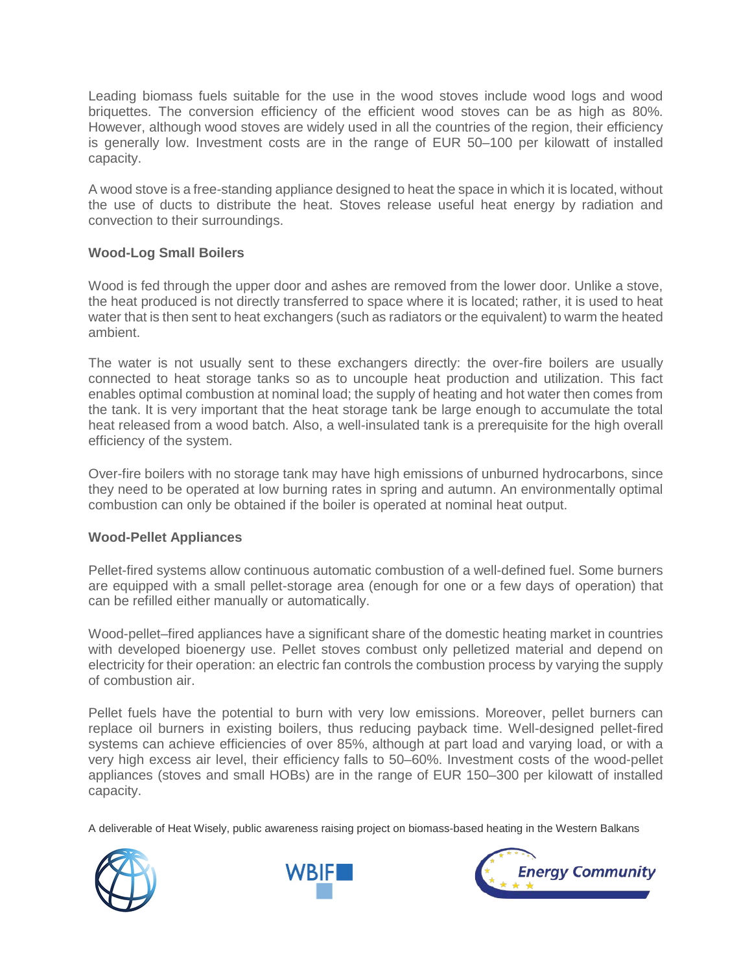Leading biomass fuels suitable for the use in the wood stoves include wood logs and wood briquettes. The conversion efficiency of the efficient wood stoves can be as high as 80%. However, although wood stoves are widely used in all the countries of the region, their efficiency is generally low. Investment costs are in the range of EUR 50–100 per kilowatt of installed capacity.

A wood stove is a free-standing appliance designed to heat the space in which it is located, without the use of ducts to distribute the heat. Stoves release useful heat energy by radiation and convection to their surroundings.

## **Wood-Log Small Boilers**

Wood is fed through the upper door and ashes are removed from the lower door. Unlike a stove, the heat produced is not directly transferred to space where it is located; rather, it is used to heat water that is then sent to heat exchangers (such as radiators or the equivalent) to warm the heated ambient.

The water is not usually sent to these exchangers directly: the over-fire boilers are usually connected to heat storage tanks so as to uncouple heat production and utilization. This fact enables optimal combustion at nominal load; the supply of heating and hot water then comes from the tank. It is very important that the heat storage tank be large enough to accumulate the total heat released from a wood batch. Also, a well-insulated tank is a prerequisite for the high overall efficiency of the system.

Over-fire boilers with no storage tank may have high emissions of unburned hydrocarbons, since they need to be operated at low burning rates in spring and autumn. An environmentally optimal combustion can only be obtained if the boiler is operated at nominal heat output.

#### **Wood-Pellet Appliances**

Pellet-fired systems allow continuous automatic combustion of a well-defined fuel. Some burners are equipped with a small pellet-storage area (enough for one or a few days of operation) that can be refilled either manually or automatically.

Wood-pellet–fired appliances have a significant share of the domestic heating market in countries with developed bioenergy use. Pellet stoves combust only pelletized material and depend on electricity for their operation: an electric fan controls the combustion process by varying the supply of combustion air.

Pellet fuels have the potential to burn with very low emissions. Moreover, pellet burners can replace oil burners in existing boilers, thus reducing payback time. Well-designed pellet-fired systems can achieve efficiencies of over 85%, although at part load and varying load, or with a very high excess air level, their efficiency falls to 50–60%. Investment costs of the wood-pellet appliances (stoves and small HOBs) are in the range of EUR 150–300 per kilowatt of installed capacity.

A deliverable of Heat Wisely, public awareness raising project on biomass-based heating in the Western Balkans